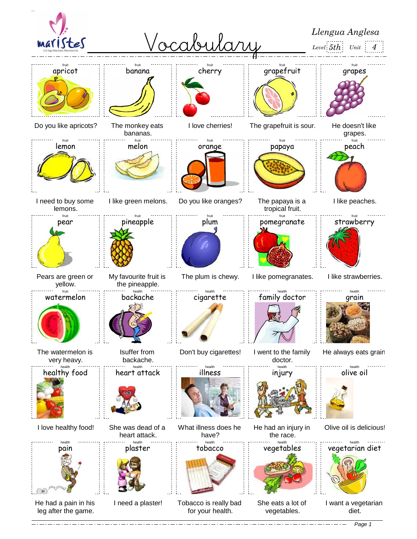

Page 1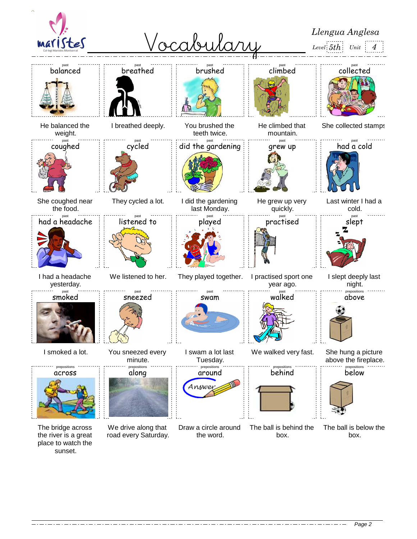

Page 2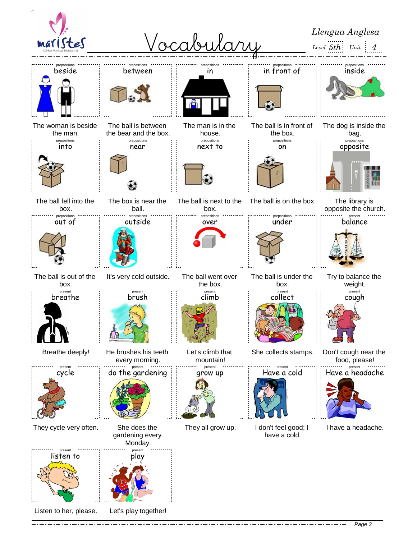